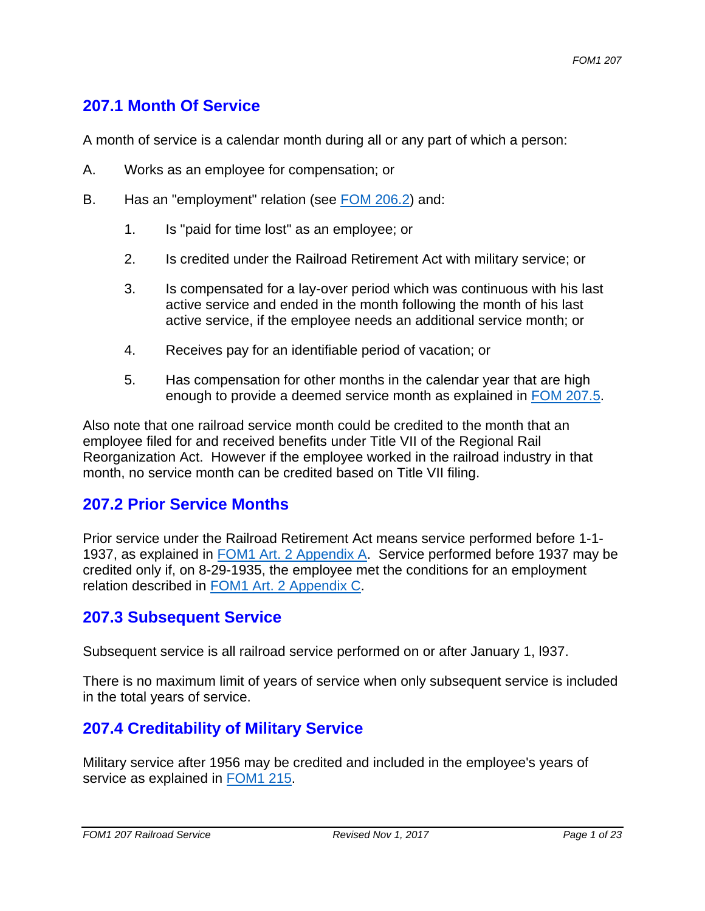# **207.1 Month Of Service**

A month of service is a calendar month during all or any part of which a person:

- A. Works as an employee for compensation; or
- B. Has an "employment" relation (see FOM 206.2) and:
	- 1. Is "paid for time lost" as an employee; or
	- 2. Is credited under the Railroad Retirement Act with military service; or
	- 3. Is compensated for a lay-over period which was continuous with his last active service and ended in the month following the month of his last active service, if the employee needs an additional service month; or
	- 4. Receives pay for an identifiable period of vacation; or
	- 5. Has compensation for other months in the calendar year that are high enough to provide a deemed service month as explained in FOM 207.5.

Also note that one railroad service month could be credited to the month that an employee filed for and received benefits under Title VII of the Regional Rail Reorganization Act. However if the employee worked in the railroad industry in that month, no service month can be credited based on Title VII filing.

## **207.2 Prior Service Months**

Prior service under the Railroad Retirement Act means service performed before 1-1- 1937, as explained in FOM1 Art. 2 Appendix A. Service performed before 1937 may be credited only if, on 8-29-1935, the employee met the conditions for an employment relation described in FOM1 Art. 2 Appendix C.

### **207.3 Subsequent Service**

Subsequent service is all railroad service performed on or after January 1, l937.

There is no maximum limit of years of service when only subsequent service is included in the total years of service.

# **207.4 Creditability of Military Service**

Military service after 1956 may be credited and included in the employee's years of service as explained in FOM1 215.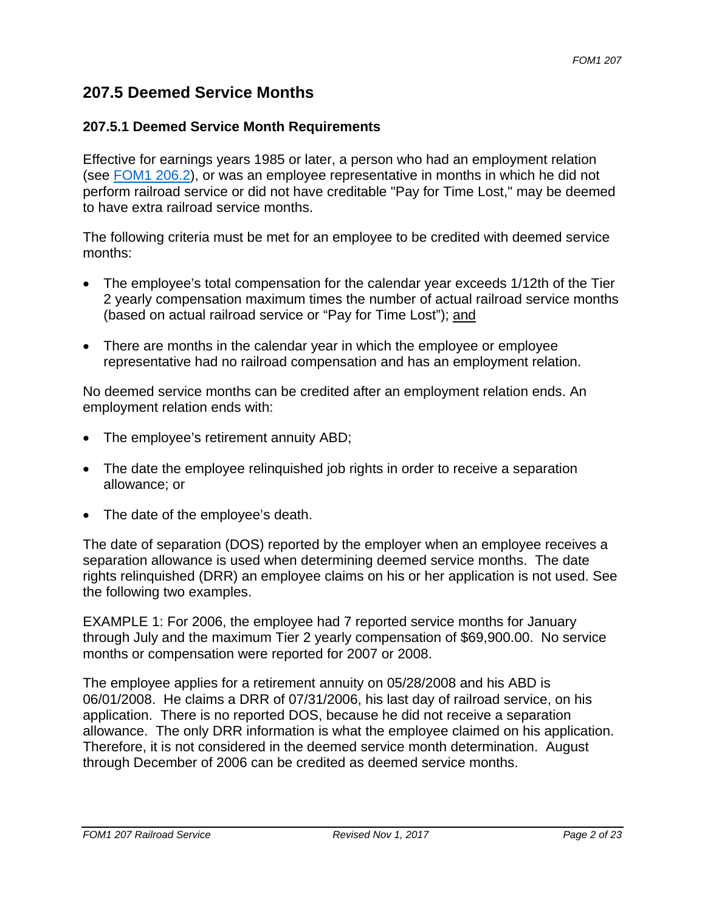# **207.5 Deemed Service Months**

#### **207.5.1 Deemed Service Month Requirements**

Effective for earnings years 1985 or later, a person who had an employment relation (see FOM1 206.2), or was an employee representative in months in which he did not perform railroad service or did not have creditable "Pay for Time Lost," may be deemed to have extra railroad service months.

The following criteria must be met for an employee to be credited with deemed service months:

- The employee's total compensation for the calendar year exceeds 1/12th of the Tier 2 yearly compensation maximum times the number of actual railroad service months (based on actual railroad service or "Pay for Time Lost"); and
- There are months in the calendar year in which the employee or employee representative had no railroad compensation and has an employment relation.

No deemed service months can be credited after an employment relation ends. An employment relation ends with:

- The employee's retirement annuity ABD;
- The date the employee relinquished job rights in order to receive a separation allowance; or
- The date of the employee's death.

The date of separation (DOS) reported by the employer when an employee receives a separation allowance is used when determining deemed service months. The date rights relinquished (DRR) an employee claims on his or her application is not used. See the following two examples.

EXAMPLE 1: For 2006, the employee had 7 reported service months for January through July and the maximum Tier 2 yearly compensation of \$69,900.00. No service months or compensation were reported for 2007 or 2008.

The employee applies for a retirement annuity on 05/28/2008 and his ABD is 06/01/2008. He claims a DRR of 07/31/2006, his last day of railroad service, on his application. There is no reported DOS, because he did not receive a separation allowance. The only DRR information is what the employee claimed on his application. Therefore, it is not considered in the deemed service month determination. August through December of 2006 can be credited as deemed service months.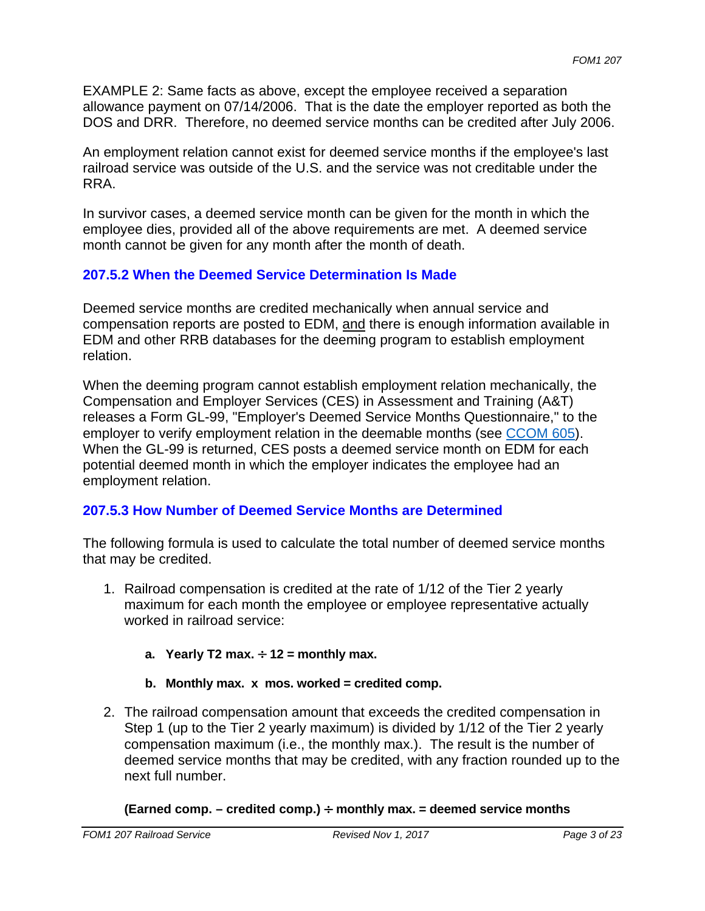EXAMPLE 2: Same facts as above, except the employee received a separation allowance payment on 07/14/2006. That is the date the employer reported as both the DOS and DRR. Therefore, no deemed service months can be credited after July 2006.

An employment relation cannot exist for deemed service months if the employee's last railroad service was outside of the U.S. and the service was not creditable under the RRA.

In survivor cases, a deemed service month can be given for the month in which the employee dies, provided all of the above requirements are met. A deemed service month cannot be given for any month after the month of death.

### **207.5.2 When the Deemed Service Determination Is Made**

Deemed service months are credited mechanically when annual service and compensation reports are posted to EDM, and there is enough information available in EDM and other RRB databases for the deeming program to establish employment relation.

When the deeming program cannot establish employment relation mechanically, the Compensation and Employer Services (CES) in Assessment and Training (A&T) releases a Form GL-99, "Employer's Deemed Service Months Questionnaire," to the employer to verify employment relation in the deemable months (see CCOM 605). When the GL-99 is returned, CES posts a deemed service month on EDM for each potential deemed month in which the employer indicates the employee had an employment relation.

### **207.5.3 How Number of Deemed Service Months are Determined**

The following formula is used to calculate the total number of deemed service months that may be credited.

- 1. Railroad compensation is credited at the rate of 1/12 of the Tier 2 yearly maximum for each month the employee or employee representative actually worked in railroad service:
	- a. Yearly T2 max.  $\div$  12 = monthly max.
	- **b. Monthly max. x mos. worked = credited comp.**
- 2. The railroad compensation amount that exceeds the credited compensation in Step 1 (up to the Tier 2 yearly maximum) is divided by 1/12 of the Tier 2 yearly compensation maximum (i.e., the monthly max.). The result is the number of deemed service months that may be credited, with any fraction rounded up to the next full number.

#### (Earned comp. – credited comp.)  $\div$  monthly max. = deemed service months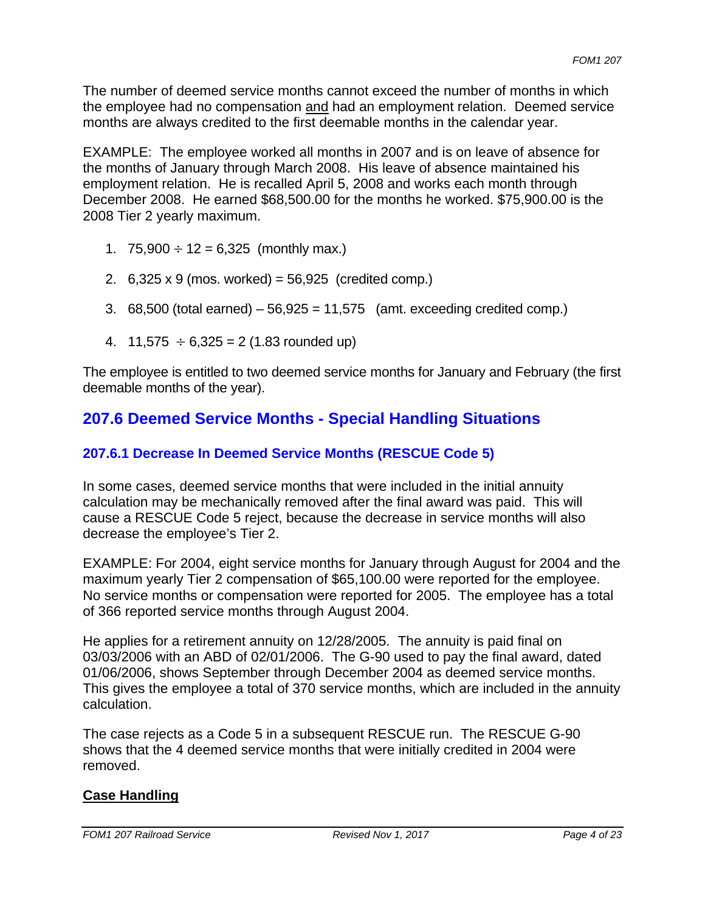The number of deemed service months cannot exceed the number of months in which the employee had no compensation and had an employment relation. Deemed service months are always credited to the first deemable months in the calendar year.

EXAMPLE: The employee worked all months in 2007 and is on leave of absence for the months of January through March 2008. His leave of absence maintained his employment relation. He is recalled April 5, 2008 and works each month through December 2008. He earned \$68,500.00 for the months he worked. \$75,900.00 is the 2008 Tier 2 yearly maximum.

- 1.  $75,900 \div 12 = 6,325$  (monthly max.)
- 2.  $6,325 \times 9$  (mos. worked) = 56,925 (credited comp.)
- 3.  $68,500$  (total earned)  $-56,925 = 11,575$  (amt. exceeding credited comp.)
- 4. 11,575  $\div 6,325 = 2 (1.83$  rounded up)

The employee is entitled to two deemed service months for January and February (the first deemable months of the year).

# **207.6 Deemed Service Months - Special Handling Situations**

# **207.6.1 Decrease In Deemed Service Months (RESCUE Code 5)**

In some cases, deemed service months that were included in the initial annuity calculation may be mechanically removed after the final award was paid. This will cause a RESCUE Code 5 reject, because the decrease in service months will also decrease the employee's Tier 2.

EXAMPLE: For 2004, eight service months for January through August for 2004 and the maximum yearly Tier 2 compensation of \$65,100.00 were reported for the employee. No service months or compensation were reported for 2005. The employee has a total of 366 reported service months through August 2004.

He applies for a retirement annuity on 12/28/2005. The annuity is paid final on 03/03/2006 with an ABD of 02/01/2006. The G-90 used to pay the final award, dated 01/06/2006, shows September through December 2004 as deemed service months. This gives the employee a total of 370 service months, which are included in the annuity calculation.

The case rejects as a Code 5 in a subsequent RESCUE run. The RESCUE G-90 shows that the 4 deemed service months that were initially credited in 2004 were removed.

## **Case Handling**

 *FOM1 207 Railroad Service Revised Nov 1, 2017 Page 4 of 23*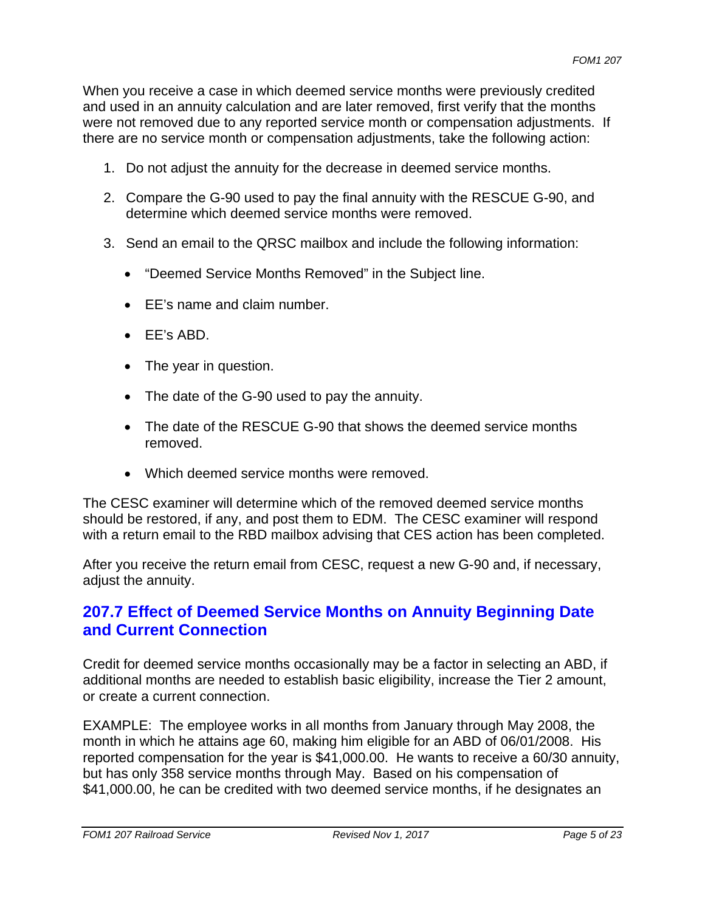When you receive a case in which deemed service months were previously credited and used in an annuity calculation and are later removed, first verify that the months were not removed due to any reported service month or compensation adjustments. If there are no service month or compensation adjustments, take the following action:

- 1. Do not adjust the annuity for the decrease in deemed service months.
- 2. Compare the G-90 used to pay the final annuity with the RESCUE G-90, and determine which deemed service months were removed.
- 3. Send an email to the QRSC mailbox and include the following information:
	- "Deemed Service Months Removed" in the Subject line.
	- EE's name and claim number.
	- EE's ABD.
	- The year in question.
	- The date of the G-90 used to pay the annuity.
	- The date of the RESCUE G-90 that shows the deemed service months removed.
	- Which deemed service months were removed.

The CESC examiner will determine which of the removed deemed service months should be restored, if any, and post them to EDM. The CESC examiner will respond with a return email to the RBD mailbox advising that CES action has been completed.

After you receive the return email from CESC, request a new G-90 and, if necessary, adjust the annuity.

# **207.7 Effect of Deemed Service Months on Annuity Beginning Date and Current Connection**

Credit for deemed service months occasionally may be a factor in selecting an ABD, if additional months are needed to establish basic eligibility, increase the Tier 2 amount, or create a current connection.

EXAMPLE: The employee works in all months from January through May 2008, the month in which he attains age 60, making him eligible for an ABD of 06/01/2008. His reported compensation for the year is \$41,000.00. He wants to receive a 60/30 annuity, but has only 358 service months through May. Based on his compensation of \$41,000.00, he can be credited with two deemed service months, if he designates an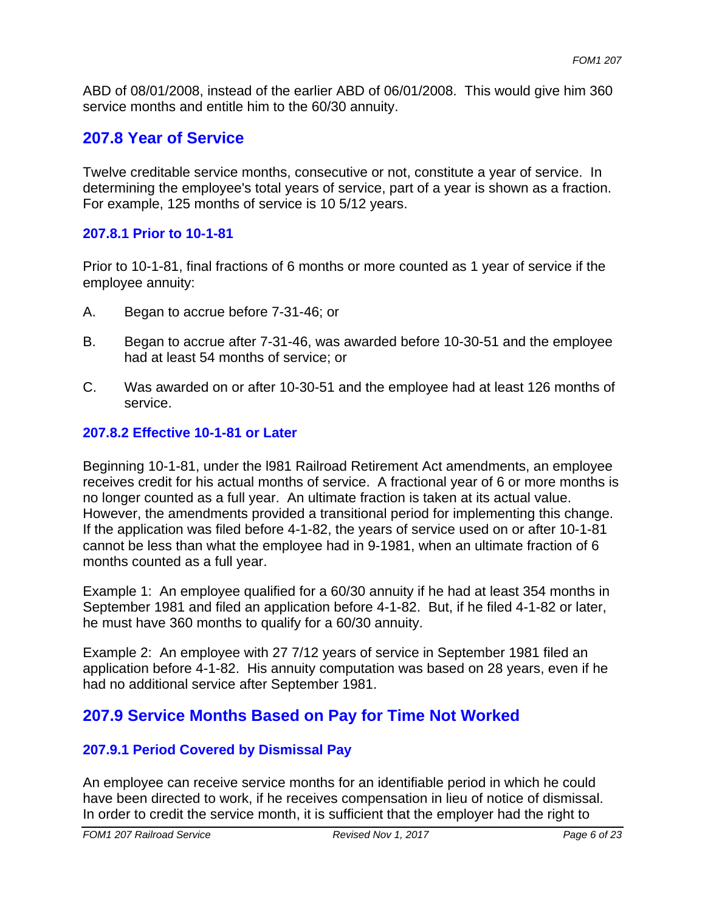ABD of 08/01/2008, instead of the earlier ABD of 06/01/2008. This would give him 360 service months and entitle him to the 60/30 annuity.

# **207.8 Year of Service**

Twelve creditable service months, consecutive or not, constitute a year of service. In determining the employee's total years of service, part of a year is shown as a fraction. For example, 125 months of service is 10 5/12 years.

#### **207.8.1 Prior to 10-1-81**

Prior to 10-1-81, final fractions of 6 months or more counted as 1 year of service if the employee annuity:

- A. Began to accrue before 7-31-46; or
- B. Began to accrue after 7-31-46, was awarded before 10-30-51 and the employee had at least 54 months of service; or
- C. Was awarded on or after 10-30-51 and the employee had at least 126 months of service.

### **207.8.2 Effective 10-1-81 or Later**

However, the amendments provided a transitional period for implementing this change. Beginning 10-1-81, under the l981 Railroad Retirement Act amendments, an employee receives credit for his actual months of service. A fractional year of 6 or more months is no longer counted as a full year. An ultimate fraction is taken at its actual value. If the application was filed before 4-1-82, the years of service used on or after 10-1-81 cannot be less than what the employee had in 9-1981, when an ultimate fraction of 6 months counted as a full year.

Example 1: An employee qualified for a 60/30 annuity if he had at least 354 months in September 1981 and filed an application before 4-1-82. But, if he filed 4-1-82 or later, he must have 360 months to qualify for a 60/30 annuity.

Example 2: An employee with 27 7/12 years of service in September 1981 filed an application before 4-1-82. His annuity computation was based on 28 years, even if he had no additional service after September 1981.

# **207.9 Service Months Based on Pay for Time Not Worked**

### **207.9.1 Period Covered by Dismissal Pay**

An employee can receive service months for an identifiable period in which he could have been directed to work, if he receives compensation in lieu of notice of dismissal. In order to credit the service month, it is sufficient that the employer had the right to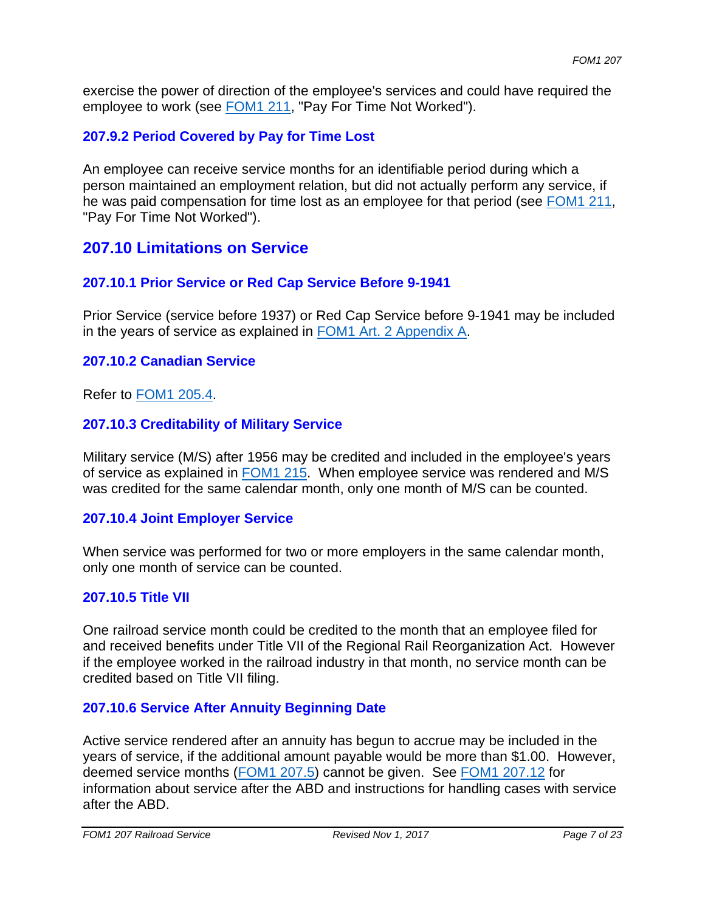exercise the power of direction of the employee's services and could have required the employee to work (see FOM1 211, "Pay For Time Not Worked").

### **207.9.2 Period Covered by Pay for Time Lost**

An employee can receive service months for an identifiable period during which a person maintained an employment relation, but did not actually perform any service, if he was paid compensation for time lost as an employee for that period (see FOM1 211, "Pay For Time Not Worked").

# **207.10 Limitations on Service**

### **207.10.1 Prior Service or Red Cap Service Before 9-1941**

Prior Service (service before 1937) or Red Cap Service before 9-1941 may be included in the years of service as explained in FOM1 Art. 2 Appendix A.

#### **207.10.2 Canadian Service**

Refer to FOM1 205.4.

### **207.10.3 Creditability of Military Service**

Military service (M/S) after 1956 may be credited and included in the employee's years of service as explained in FOM1 215. When employee service was rendered and M/S was credited for the same calendar month, only one month of M/S can be counted.

### **207.10.4 Joint Employer Service**

When service was performed for two or more employers in the same calendar month, only one month of service can be counted.

#### **207.10.5 Title VII**

One railroad service month could be credited to the month that an employee filed for and received benefits under Title VII of the Regional Rail Reorganization Act. However if the employee worked in the railroad industry in that month, no service month can be credited based on Title VII filing.

#### **207.10.6 Service After Annuity Beginning Date**

Active service rendered after an annuity has begun to accrue may be included in the years of service, if the additional amount payable would be more than \$1.00. However, deemed service months (FOM1 207.5) cannot be given. See FOM1 207.12 for information about service after the ABD and instructions for handling cases with service after the ABD.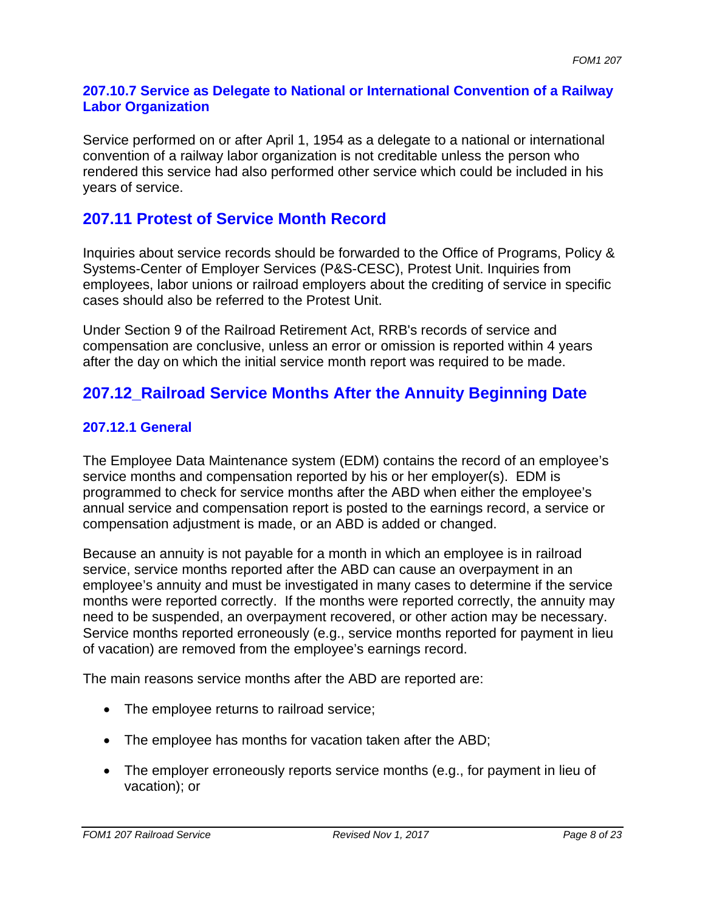#### **207.10.7 Service as Delegate to National or International Convention of a Railway Labor Organization**

Service performed on or after April 1, 1954 as a delegate to a national or international convention of a railway labor organization is not creditable unless the person who rendered this service had also performed other service which could be included in his years of service.

# **207.11 Protest of Service Month Record**

Inquiries about service records should be forwarded to the Office of Programs, Policy & Systems-Center of Employer Services (P&S-CESC), Protest Unit. Inquiries from employees, labor unions or railroad employers about the crediting of service in specific cases should also be referred to the Protest Unit.

Under Section 9 of the Railroad Retirement Act, RRB's records of service and compensation are conclusive, unless an error or omission is reported within 4 years after the day on which the initial service month report was required to be made.

# **207.12\_Railroad Service Months After the Annuity Beginning Date**

## **207.12.1 General**

The Employee Data Maintenance system (EDM) contains the record of an employee's service months and compensation reported by his or her employer(s). EDM is programmed to check for service months after the ABD when either the employee's annual service and compensation report is posted to the earnings record, a service or compensation adjustment is made, or an ABD is added or changed.

Because an annuity is not payable for a month in which an employee is in railroad service, service months reported after the ABD can cause an overpayment in an employee's annuity and must be investigated in many cases to determine if the service months were reported correctly. If the months were reported correctly, the annuity may need to be suspended, an overpayment recovered, or other action may be necessary. Service months reported erroneously (e.g., service months reported for payment in lieu of vacation) are removed from the employee's earnings record.

The main reasons service months after the ABD are reported are:

- The employee returns to railroad service;
- The employee has months for vacation taken after the ABD;
- The employer erroneously reports service months (e.g., for payment in lieu of vacation); or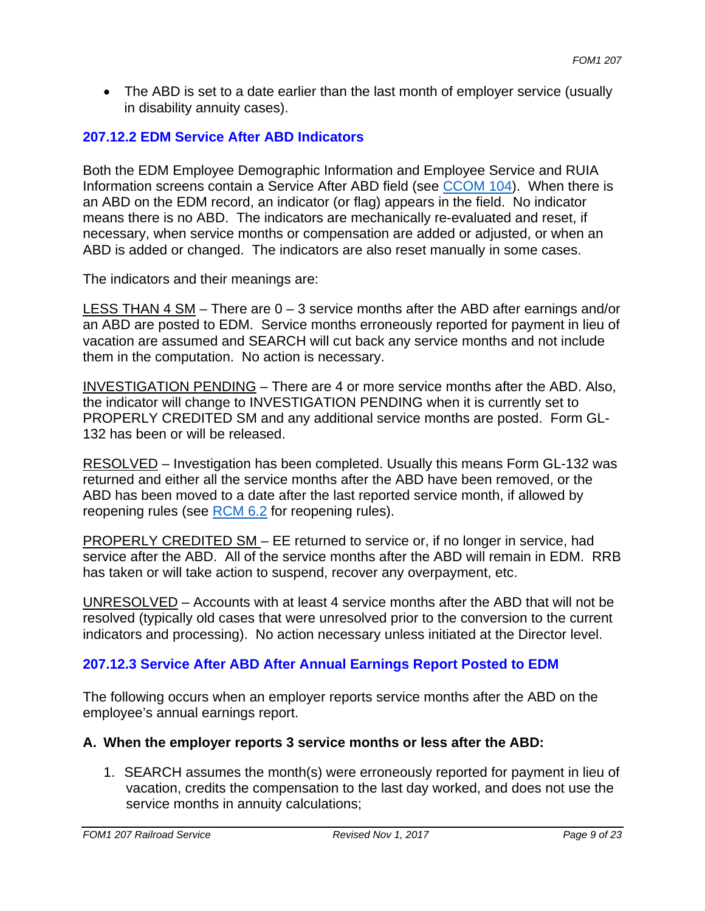• The ABD is set to a date earlier than the last month of employer service (usually in disability annuity cases).

## **207.12.2 EDM Service After ABD Indicators**

Both the EDM Employee Demographic Information and Employee Service and RUIA Information screens contain a Service After ABD field (see CCOM 104). When there is an ABD on the EDM record, an indicator (or flag) appears in the field. No indicator means there is no ABD. The indicators are mechanically re-evaluated and reset, if necessary, when service months or compensation are added or adjusted, or when an ABD is added or changed. The indicators are also reset manually in some cases.

The indicators and their meanings are:

LESS THAN 4 SM – There are  $0 - 3$  service months after the ABD after earnings and/or an ABD are posted to EDM. Service months erroneously reported for payment in lieu of vacation are assumed and SEARCH will cut back any service months and not include them in the computation. No action is necessary.

INVESTIGATION PENDING – There are 4 or more service months after the ABD. Also, the indicator will change to INVESTIGATION PENDING when it is currently set to PROPERLY CREDITED SM and any additional service months are posted. Form GL-132 has been or will be released.

RESOLVED – Investigation has been completed. Usually this means Form GL-132 was returned and either all the service months after the ABD have been removed, or the ABD has been moved to a date after the last reported service month, if allowed by reopening rules (see RCM 6.2 for reopening rules).

PROPERLY CREDITED SM – EE returned to service or, if no longer in service, had service after the ABD. All of the service months after the ABD will remain in EDM. RRB has taken or will take action to suspend, recover any overpayment, etc.

UNRESOLVED – Accounts with at least 4 service months after the ABD that will not be resolved (typically old cases that were unresolved prior to the conversion to the current indicators and processing). No action necessary unless initiated at the Director level.

### **207.12.3 Service After ABD After Annual Earnings Report Posted to EDM**

The following occurs when an employer reports service months after the ABD on the employee's annual earnings report.

#### **A. When the employer reports 3 service months or less after the ABD:**

1. SEARCH assumes the month(s) were erroneously reported for payment in lieu of vacation, credits the compensation to the last day worked, and does not use the service months in annuity calculations;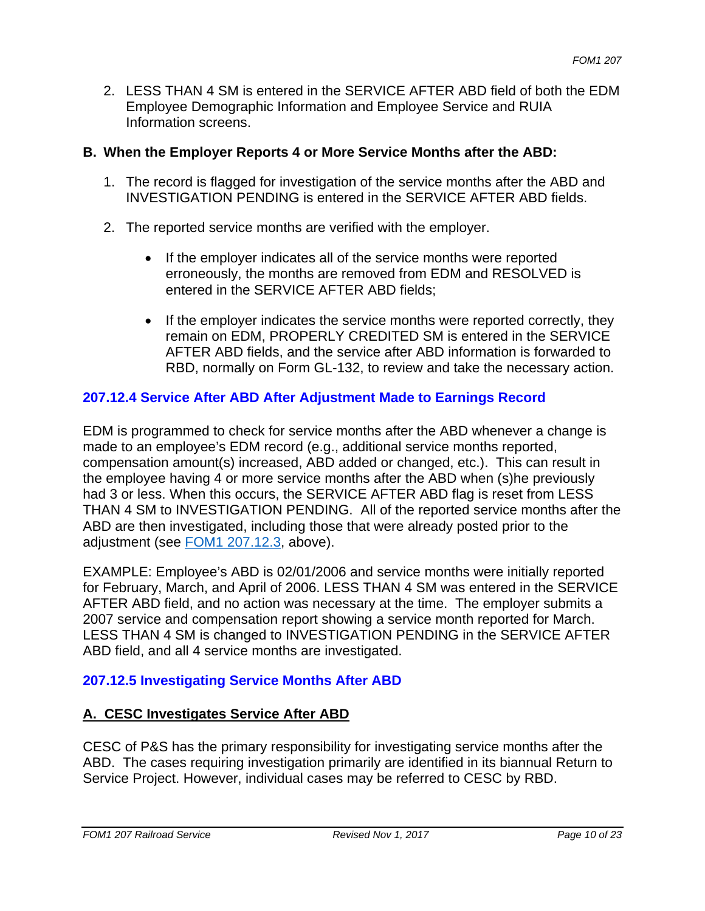2. LESS THAN 4 SM is entered in the SERVICE AFTER ABD field of both the EDM Employee Demographic Information and Employee Service and RUIA Information screens.

#### **B. When the Employer Reports 4 or More Service Months after the ABD:**

- 1. The record is flagged for investigation of the service months after the ABD and INVESTIGATION PENDING is entered in the SERVICE AFTER ABD fields.
- 2. The reported service months are verified with the employer.
	- If the employer indicates all of the service months were reported erroneously, the months are removed from EDM and RESOLVED is entered in the SERVICE AFTER ABD fields;
	- If the employer indicates the service months were reported correctly, they remain on EDM, PROPERLY CREDITED SM is entered in the SERVICE AFTER ABD fields, and the service after ABD information is forwarded to RBD, normally on Form GL-132, to review and take the necessary action.

### **207.12.4 Service After ABD After Adjustment Made to Earnings Record**

EDM is programmed to check for service months after the ABD whenever a change is made to an employee's EDM record (e.g., additional service months reported, compensation amount(s) increased, ABD added or changed, etc.). This can result in the employee having 4 or more service months after the ABD when (s)he previously had 3 or less. When this occurs, the SERVICE AFTER ABD flag is reset from LESS THAN 4 SM to INVESTIGATION PENDING. All of the reported service months after the ABD are then investigated, including those that were already posted prior to the adjustment (see FOM1 207.12.3, above).

EXAMPLE: Employee's ABD is 02/01/2006 and service months were initially reported for February, March, and April of 2006. LESS THAN 4 SM was entered in the SERVICE AFTER ABD field, and no action was necessary at the time. The employer submits a 2007 service and compensation report showing a service month reported for March. LESS THAN 4 SM is changed to INVESTIGATION PENDING in the SERVICE AFTER ABD field, and all 4 service months are investigated.

### **207.12.5 Investigating Service Months After ABD**

### **A. CESC Investigates Service After ABD**

CESC of P&S has the primary responsibility for investigating service months after the ABD. The cases requiring investigation primarily are identified in its biannual Return to Service Project. However, individual cases may be referred to CESC by RBD.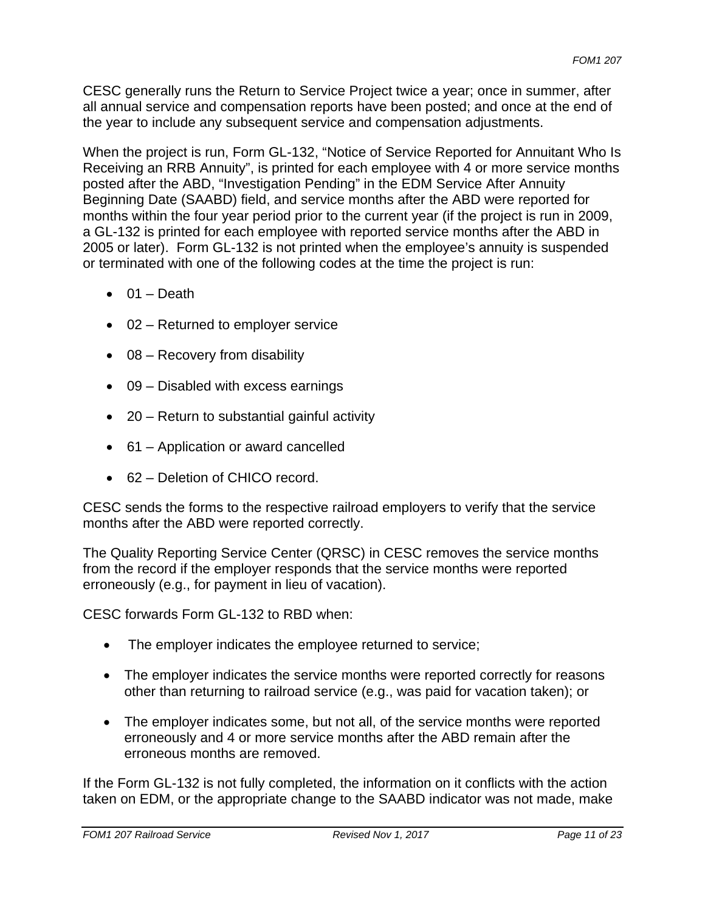CESC generally runs the Return to Service Project twice a year; once in summer, after all annual service and compensation reports have been posted; and once at the end of the year to include any subsequent service and compensation adjustments.

When the project is run, Form GL-132, "Notice of Service Reported for Annuitant Who Is Receiving an RRB Annuity", is printed for each employee with 4 or more service months posted after the ABD, "Investigation Pending" in the EDM Service After Annuity Beginning Date (SAABD) field, and service months after the ABD were reported for months within the four year period prior to the current year (if the project is run in 2009, a GL-132 is printed for each employee with reported service months after the ABD in 2005 or later). Form GL-132 is not printed when the employee's annuity is suspended or terminated with one of the following codes at the time the project is run:

- $\bullet$  01 Death
- 02 Returned to employer service
- $\bullet$  08 Recovery from disability
- 09 Disabled with excess earnings
- 20 Return to substantial gainful activity
- 61 Application or award cancelled
- 62 Deletion of CHICO record.

CESC sends the forms to the respective railroad employers to verify that the service months after the ABD were reported correctly.

The Quality Reporting Service Center (QRSC) in CESC removes the service months from the record if the employer responds that the service months were reported erroneously (e.g., for payment in lieu of vacation).

CESC forwards Form GL-132 to RBD when:

- The employer indicates the employee returned to service;
- The employer indicates the service months were reported correctly for reasons other than returning to railroad service (e.g., was paid for vacation taken); or
- The employer indicates some, but not all, of the service months were reported erroneously and 4 or more service months after the ABD remain after the erroneous months are removed.

If the Form GL-132 is not fully completed, the information on it conflicts with the action taken on EDM, or the appropriate change to the SAABD indicator was not made, make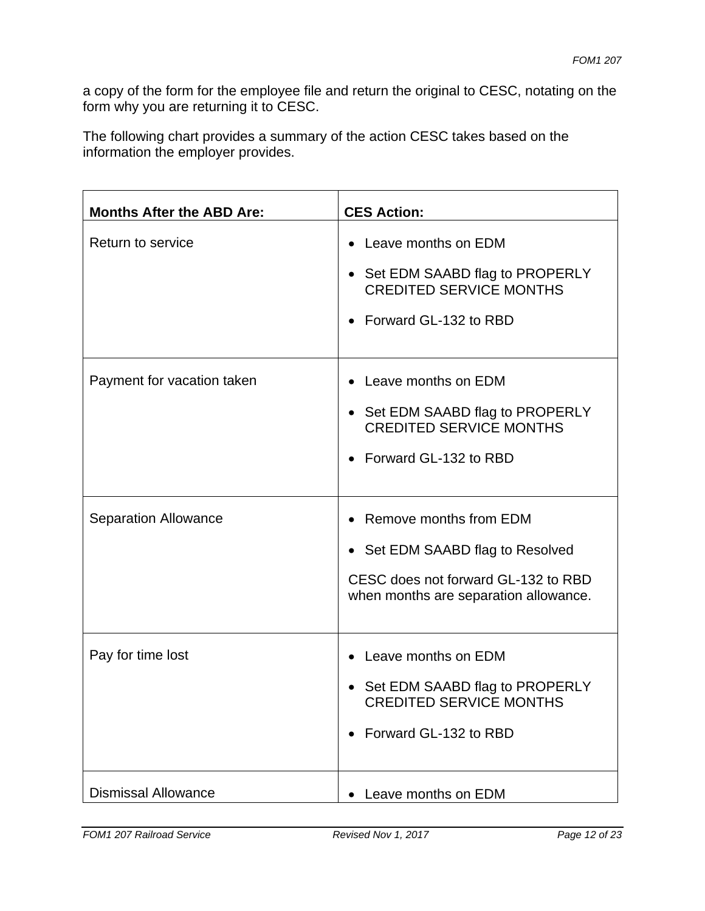a copy of the form for the employee file and return the original to CESC, notating on the form why you are returning it to CESC.

The following chart provides a summary of the action CESC takes based on the information the employer provides.

| <b>Months After the ABD Are:</b> | <b>CES Action:</b>                                                                                                                         |
|----------------------------------|--------------------------------------------------------------------------------------------------------------------------------------------|
| Return to service                | Leave months on EDM<br>• Set EDM SAABD flag to PROPERLY<br><b>CREDITED SERVICE MONTHS</b><br>Forward GL-132 to RBD                         |
| Payment for vacation taken       | Leave months on EDM<br>• Set EDM SAABD flag to PROPERLY<br><b>CREDITED SERVICE MONTHS</b><br>Forward GL-132 to RBD                         |
| <b>Separation Allowance</b>      | Remove months from EDM<br>• Set EDM SAABD flag to Resolved<br>CESC does not forward GL-132 to RBD<br>when months are separation allowance. |
| Pay for time lost                | Leave months on EDM<br>• Set EDM SAABD flag to PROPERLY<br><b>CREDITED SERVICE MONTHS</b><br>Forward GL-132 to RBD                         |
| <b>Dismissal Allowance</b>       | • Leave months on EDM                                                                                                                      |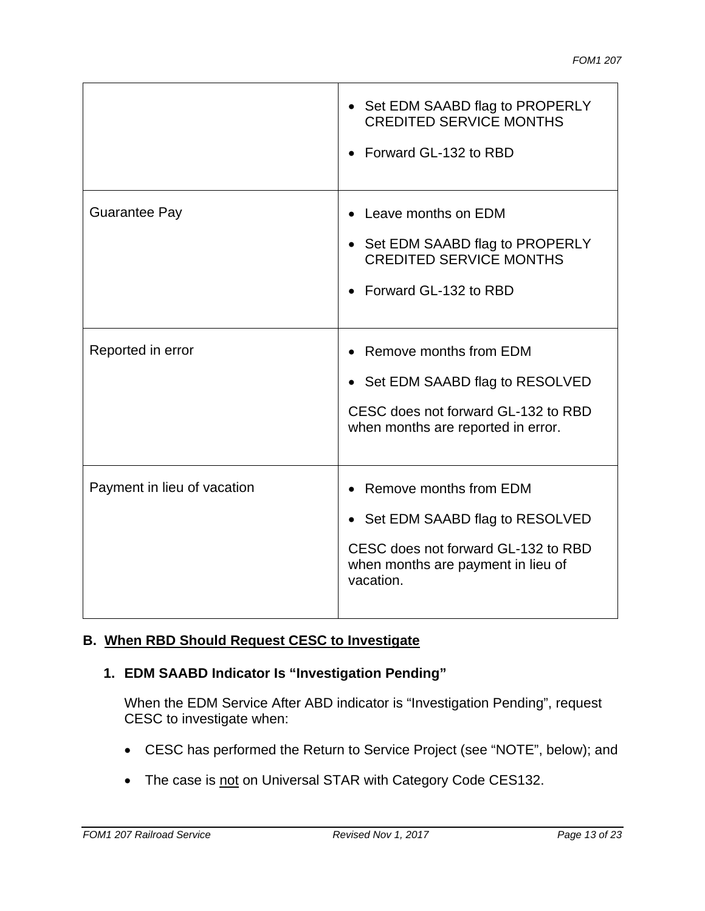|                             | • Set EDM SAABD flag to PROPERLY<br><b>CREDITED SERVICE MONTHS</b><br>Forward GL-132 to RBD                                                        |
|-----------------------------|----------------------------------------------------------------------------------------------------------------------------------------------------|
| <b>Guarantee Pay</b>        | Leave months on EDM<br>• Set EDM SAABD flag to PROPERLY<br><b>CREDITED SERVICE MONTHS</b><br>Forward GL-132 to RBD                                 |
| Reported in error           | Remove months from EDM<br>• Set EDM SAABD flag to RESOLVED<br>CESC does not forward GL-132 to RBD<br>when months are reported in error.            |
| Payment in lieu of vacation | Remove months from EDM<br>Set EDM SAABD flag to RESOLVED<br>CESC does not forward GL-132 to RBD<br>when months are payment in lieu of<br>vacation. |

## **B. When RBD Should Request CESC to Investigate**

## **1. EDM SAABD Indicator Is "Investigation Pending"**

When the EDM Service After ABD indicator is "Investigation Pending", request CESC to investigate when:

- CESC has performed the Return to Service Project (see "NOTE", below); and
- The case is not on Universal STAR with Category Code CES132.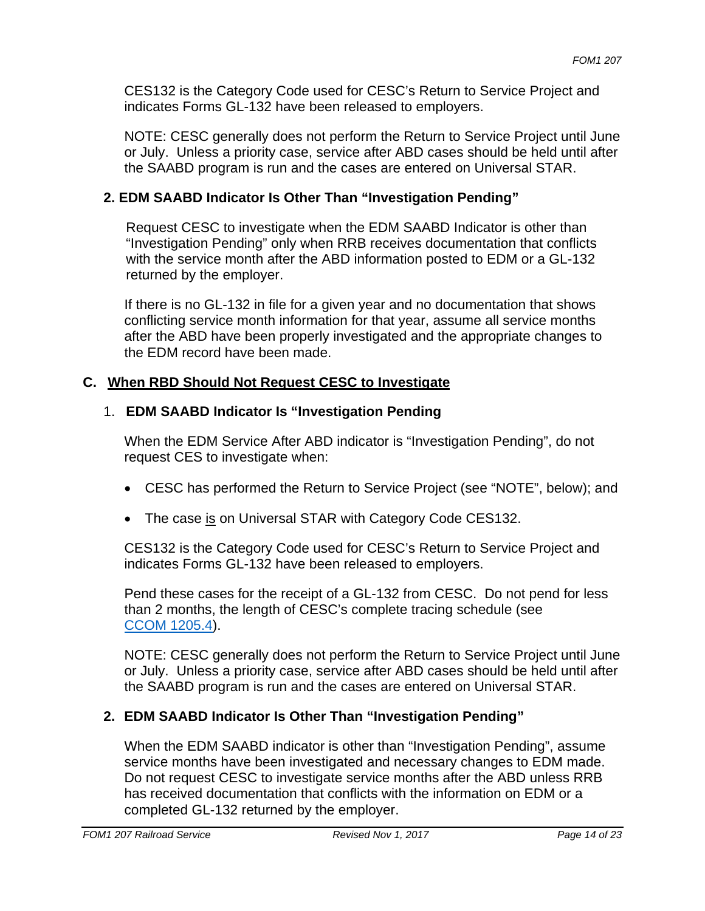CES132 is the Category Code used for CESC's Return to Service Project and indicates Forms GL-132 have been released to employers.

NOTE: CESC generally does not perform the Return to Service Project until June or July. Unless a priority case, service after ABD cases should be held until after the SAABD program is run and the cases are entered on Universal STAR.

## **2. EDM SAABD Indicator Is Other Than "Investigation Pending"**

Request CESC to investigate when the EDM SAABD Indicator is other than "Investigation Pending" only when RRB receives documentation that conflicts with the service month after the ABD information posted to EDM or a GL-132 returned by the employer.

If there is no GL-132 in file for a given year and no documentation that shows conflicting service month information for that year, assume all service months after the ABD have been properly investigated and the appropriate changes to the EDM record have been made.

## **C. When RBD Should Not Request CESC to Investigate**

### 1. **EDM SAABD Indicator Is "Investigation Pending**

When the EDM Service After ABD indicator is "Investigation Pending", do not request CES to investigate when:

- CESC has performed the Return to Service Project (see "NOTE", below); and
- The case is on Universal STAR with Category Code CES132.

CES132 is the Category Code used for CESC's Return to Service Project and indicates Forms GL-132 have been released to employers.

Pend these cases for the receipt of a GL-132 from CESC. Do not pend for less than 2 months, the length of CESC's complete tracing schedule (see CCOM 1205.4).

NOTE: CESC generally does not perform the Return to Service Project until June or July. Unless a priority case, service after ABD cases should be held until after the SAABD program is run and the cases are entered on Universal STAR.

# **2. EDM SAABD Indicator Is Other Than "Investigation Pending"**

When the EDM SAABD indicator is other than "Investigation Pending", assume service months have been investigated and necessary changes to EDM made. Do not request CESC to investigate service months after the ABD unless RRB has received documentation that conflicts with the information on EDM or a completed GL-132 returned by the employer.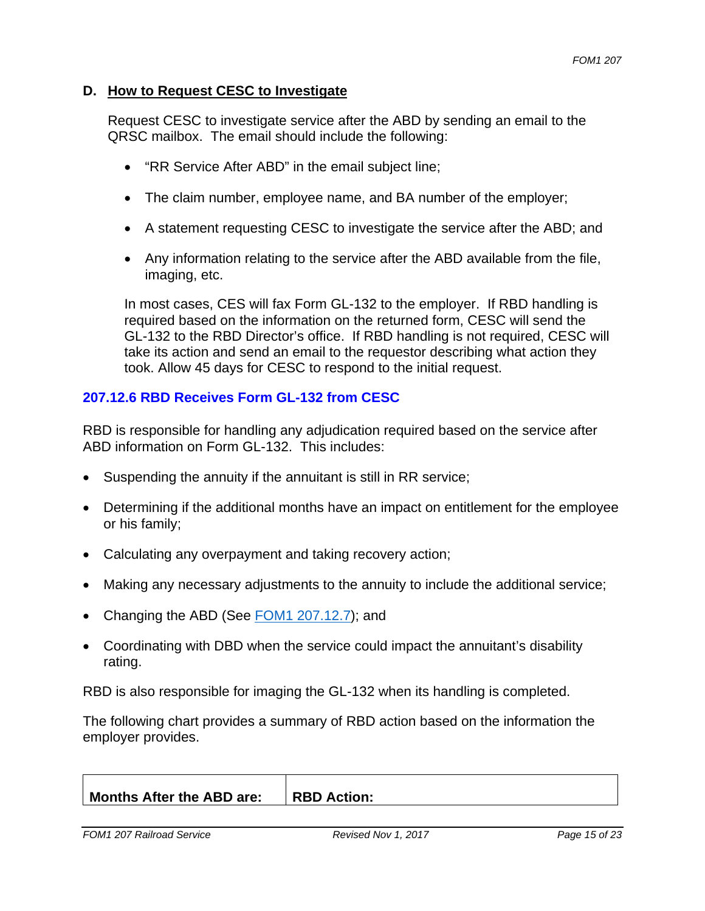#### **D. How to Request CESC to Investigate**

Request CESC to investigate service after the ABD by sending an email to the QRSC mailbox. The email should include the following:

- "RR Service After ABD" in the email subject line;
- The claim number, employee name, and BA number of the employer;
- A statement requesting CESC to investigate the service after the ABD; and
- Any information relating to the service after the ABD available from the file, imaging, etc.

In most cases, CES will fax Form GL-132 to the employer. If RBD handling is required based on the information on the returned form, CESC will send the GL-132 to the RBD Director's office. If RBD handling is not required, CESC will take its action and send an email to the requestor describing what action they took. Allow 45 days for CESC to respond to the initial request.

#### **207.12.6 RBD Receives Form GL-132 from CESC**

RBD is responsible for handling any adjudication required based on the service after ABD information on Form GL-132. This includes:

- Suspending the annuity if the annuitant is still in RR service;
- Determining if the additional months have an impact on entitlement for the employee or his family;
- Calculating any overpayment and taking recovery action;
- Making any necessary adjustments to the annuity to include the additional service;
- Changing the ABD (See FOM1 207.12.7); and
- Coordinating with DBD when the service could impact the annuitant's disability rating.

RBD is also responsible for imaging the GL-132 when its handling is completed.

The following chart provides a summary of RBD action based on the information the employer provides.

| <b>Months After the ABD are:</b><br><b>RBD Action:</b> |
|--------------------------------------------------------|
|--------------------------------------------------------|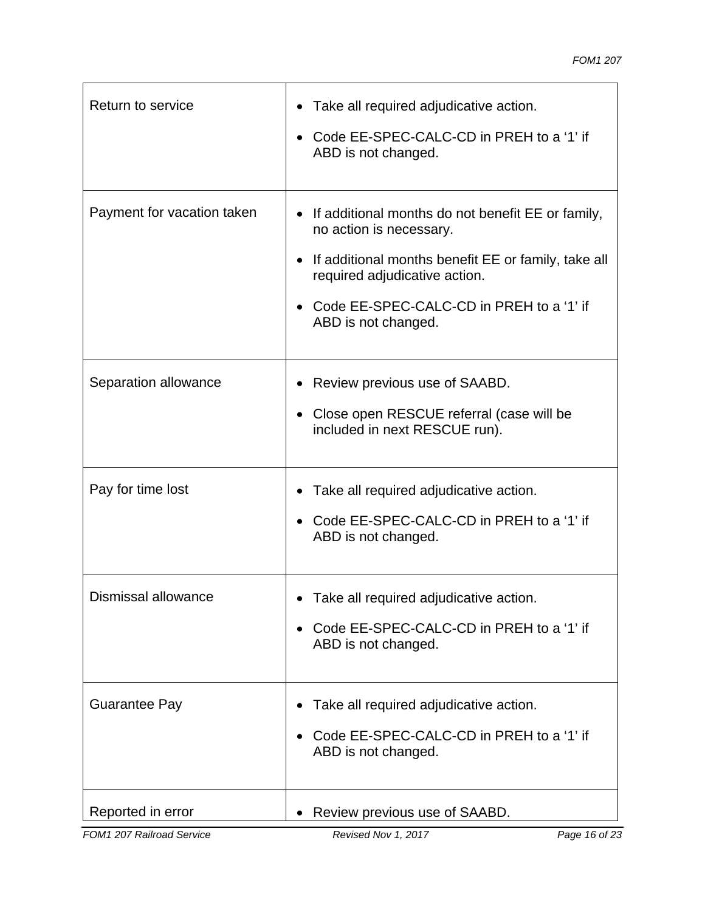| Return to service          | Take all required adjudicative action.<br>Code EE-SPEC-CALC-CD in PREH to a '1' if<br>ABD is not changed.                                                                                                                                            |
|----------------------------|------------------------------------------------------------------------------------------------------------------------------------------------------------------------------------------------------------------------------------------------------|
| Payment for vacation taken | If additional months do not benefit EE or family,<br>$\bullet$<br>no action is necessary.<br>If additional months benefit EE or family, take all<br>required adjudicative action.<br>Code EE-SPEC-CALC-CD in PREH to a '1' if<br>ABD is not changed. |
| Separation allowance       | Review previous use of SAABD.<br>Close open RESCUE referral (case will be<br>$\bullet$<br>included in next RESCUE run).                                                                                                                              |
| Pay for time lost          | Take all required adjudicative action.<br>Code EE-SPEC-CALC-CD in PREH to a '1' if<br>ABD is not changed.                                                                                                                                            |
| Dismissal allowance        | Take all required adjudicative action.<br>Code EE-SPEC-CALC-CD in PREH to a '1' if<br>ABD is not changed.                                                                                                                                            |
| <b>Guarantee Pay</b>       | Take all required adjudicative action.<br>Code EE-SPEC-CALC-CD in PREH to a '1' if<br>ABD is not changed.                                                                                                                                            |
| Reported in error          | Review previous use of SAABD.                                                                                                                                                                                                                        |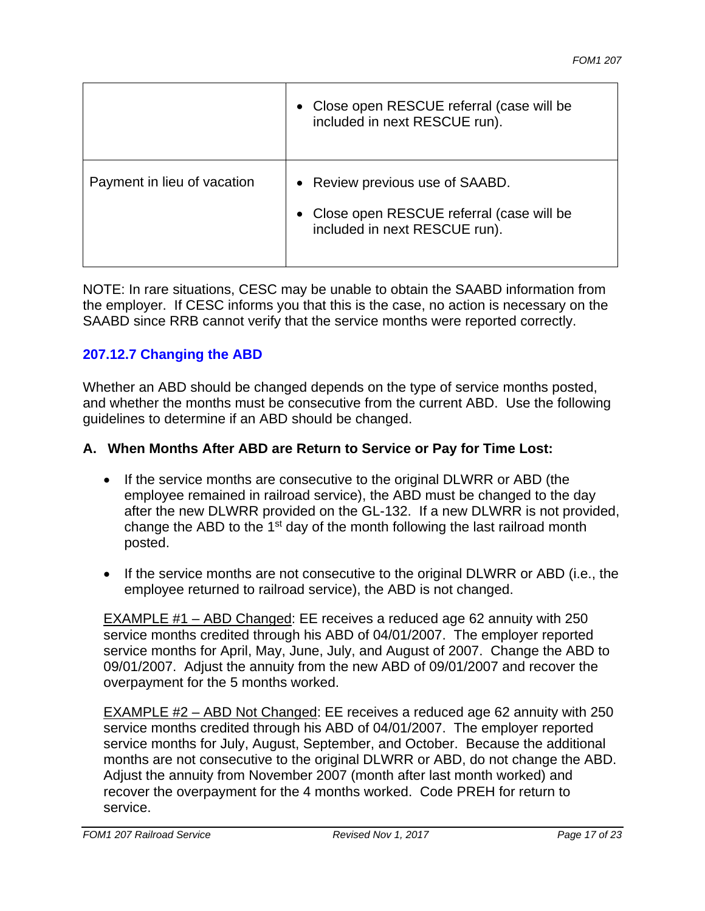|                             | • Close open RESCUE referral (case will be<br>included in next RESCUE run).                                    |
|-----------------------------|----------------------------------------------------------------------------------------------------------------|
| Payment in lieu of vacation | • Review previous use of SAABD.<br>• Close open RESCUE referral (case will be<br>included in next RESCUE run). |

NOTE: In rare situations, CESC may be unable to obtain the SAABD information from the employer. If CESC informs you that this is the case, no action is necessary on the SAABD since RRB cannot verify that the service months were reported correctly.

### **207.12.7 Changing the ABD**

Whether an ABD should be changed depends on the type of service months posted, and whether the months must be consecutive from the current ABD. Use the following guidelines to determine if an ABD should be changed.

#### **A. When Months After ABD are Return to Service or Pay for Time Lost:**

- If the service months are consecutive to the original DLWRR or ABD (the employee remained in railroad service), the ABD must be changed to the day after the new DLWRR provided on the GL-132. If a new DLWRR is not provided, change the ABD to the  $1<sup>st</sup>$  day of the month following the last railroad month posted.
- If the service months are not consecutive to the original DLWRR or ABD (i.e., the employee returned to railroad service), the ABD is not changed.

EXAMPLE #1 – ABD Changed: EE receives a reduced age 62 annuity with 250 service months credited through his ABD of 04/01/2007. The employer reported service months for April, May, June, July, and August of 2007. Change the ABD to 09/01/2007. Adjust the annuity from the new ABD of 09/01/2007 and recover the overpayment for the 5 months worked.

EXAMPLE #2 – ABD Not Changed: EE receives a reduced age 62 annuity with 250 service months credited through his ABD of 04/01/2007. The employer reported service months for July, August, September, and October. Because the additional months are not consecutive to the original DLWRR or ABD, do not change the ABD. Adjust the annuity from November 2007 (month after last month worked) and recover the overpayment for the 4 months worked. Code PREH for return to service.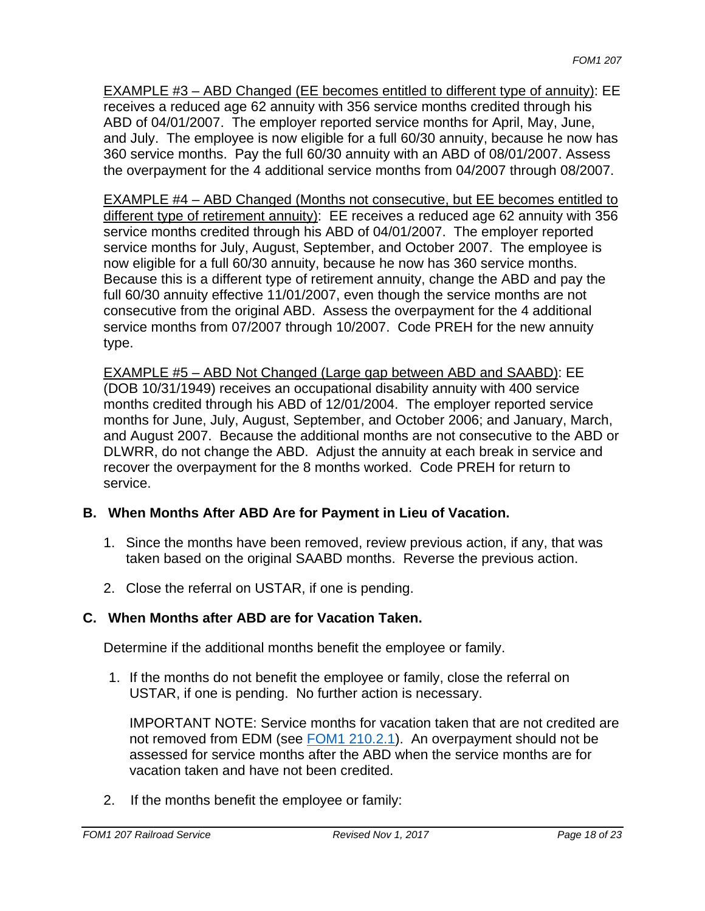EXAMPLE #3 – ABD Changed (EE becomes entitled to different type of annuity): EE receives a reduced age 62 annuity with 356 service months credited through his ABD of 04/01/2007. The employer reported service months for April, May, June, and July. The employee is now eligible for a full 60/30 annuity, because he now has 360 service months. Pay the full 60/30 annuity with an ABD of 08/01/2007. Assess the overpayment for the 4 additional service months from 04/2007 through 08/2007.

EXAMPLE #4 – ABD Changed (Months not consecutive, but EE becomes entitled to different type of retirement annuity): EE receives a reduced age 62 annuity with 356 service months credited through his ABD of 04/01/2007. The employer reported service months for July, August, September, and October 2007. The employee is now eligible for a full 60/30 annuity, because he now has 360 service months. Because this is a different type of retirement annuity, change the ABD and pay the full 60/30 annuity effective 11/01/2007, even though the service months are not consecutive from the original ABD. Assess the overpayment for the 4 additional service months from 07/2007 through 10/2007. Code PREH for the new annuity type.

EXAMPLE #5 – ABD Not Changed (Large gap between ABD and SAABD): EE (DOB 10/31/1949) receives an occupational disability annuity with 400 service months credited through his ABD of 12/01/2004. The employer reported service months for June, July, August, September, and October 2006; and January, March, and August 2007. Because the additional months are not consecutive to the ABD or DLWRR, do not change the ABD. Adjust the annuity at each break in service and recover the overpayment for the 8 months worked. Code PREH for return to service.

### **B. When Months After ABD Are for Payment in Lieu of Vacation.**

- 1. Since the months have been removed, review previous action, if any, that was taken based on the original SAABD months. Reverse the previous action.
- 2. Close the referral on USTAR, if one is pending.

## **C. When Months after ABD are for Vacation Taken.**

Determine if the additional months benefit the employee or family.

1. If the months do not benefit the employee or family, close the referral on USTAR, if one is pending. No further action is necessary.

IMPORTANT NOTE: Service months for vacation taken that are not credited are not removed from EDM (see FOM1 210.2.1). An overpayment should not be assessed for service months after the ABD when the service months are for vacation taken and have not been credited.

2. If the months benefit the employee or family: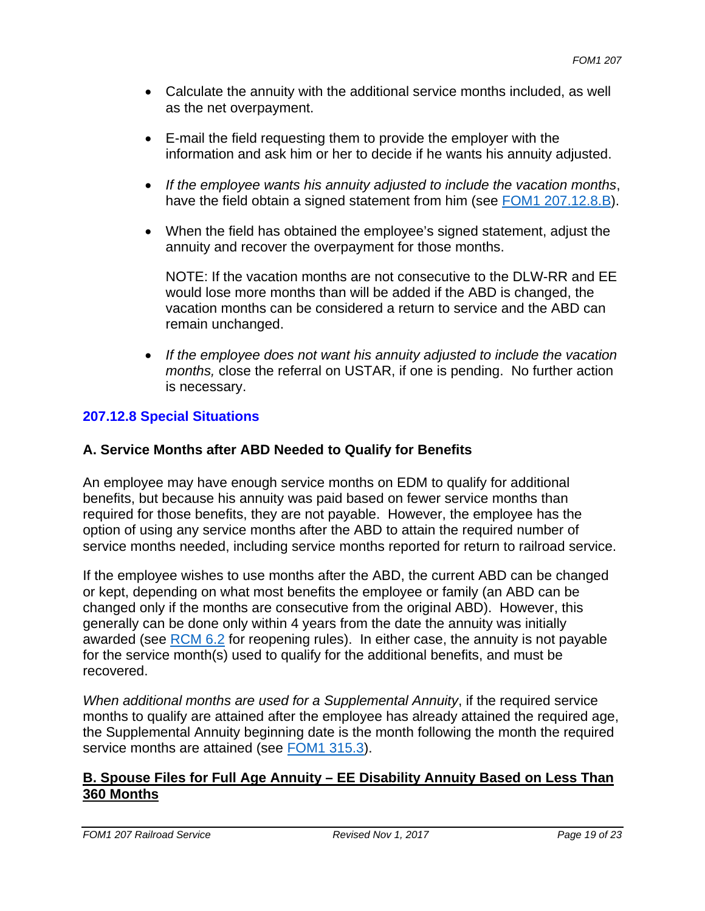- Calculate the annuity with the additional service months included, as well as the net overpayment.
- E-mail the field requesting them to provide the employer with the information and ask him or her to decide if he wants his annuity adjusted.
- *If the employee wants his annuity adjusted to include the vacation months*, have the field obtain a signed statement from him (see FOM1 207.12.8.B).
- When the field has obtained the employee's signed statement, adjust the annuity and recover the overpayment for those months.

NOTE: If the vacation months are not consecutive to the DLW-RR and EE would lose more months than will be added if the ABD is changed, the vacation months can be considered a return to service and the ABD can remain unchanged.

 *If the employee does not want his annuity adjusted to include the vacation months,* close the referral on USTAR, if one is pending. No further action is necessary.

## **207.12.8 Special Situations**

#### **A. Service Months after ABD Needed to Qualify for Benefits**

An employee may have enough service months on EDM to qualify for additional benefits, but because his annuity was paid based on fewer service months than required for those benefits, they are not payable. However, the employee has the option of using any service months after the ABD to attain the required number of service months needed, including service months reported for return to railroad service.

If the employee wishes to use months after the ABD, the current ABD can be changed or kept, depending on what most benefits the employee or family (an ABD can be changed only if the months are consecutive from the original ABD). However, this generally can be done only within 4 years from the date the annuity was initially awarded (see RCM 6.2 for reopening rules). In either case, the annuity is not payable for the service month(s) used to qualify for the additional benefits, and must be recovered.

*When additional months are used for a Supplemental Annuity*, if the required service months to qualify are attained after the employee has already attained the required age, the Supplemental Annuity beginning date is the month following the month the required service months are attained (see FOM1 315.3).

### **B. Spouse Files for Full Age Annuity – EE Disability Annuity Based on Less Than 360 Months**

*FOM1 207 Railroad Service Revised Nov 1, 2017 Page 19 of 23**Page 19 of 23*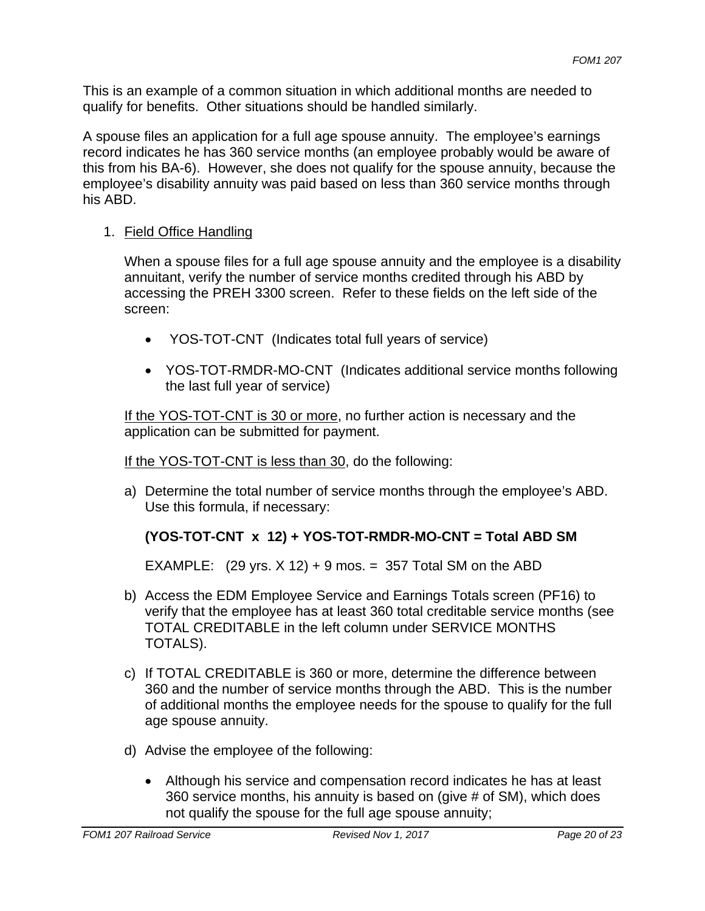This is an example of a common situation in which additional months are needed to qualify for benefits. Other situations should be handled similarly.

A spouse files an application for a full age spouse annuity. The employee's earnings record indicates he has 360 service months (an employee probably would be aware of this from his BA-6). However, she does not qualify for the spouse annuity, because the employee's disability annuity was paid based on less than 360 service months through his ABD.

## 1. Field Office Handling

When a spouse files for a full age spouse annuity and the employee is a disability annuitant, verify the number of service months credited through his ABD by accessing the PREH 3300 screen. Refer to these fields on the left side of the screen:

- YOS-TOT-CNT (Indicates total full years of service)
- YOS-TOT-RMDR-MO-CNT (Indicates additional service months following the last full year of service)

If the YOS-TOT-CNT is 30 or more, no further action is necessary and the application can be submitted for payment.

## If the YOS-TOT-CNT is less than 30, do the following:

a) Determine the total number of service months through the employee's ABD. Use this formula, if necessary:

# **(YOS-TOT-CNT x 12) + YOS-TOT-RMDR-MO-CNT = Total ABD SM**

EXAMPLE:  $(29 \text{ yrs. X } 12) + 9 \text{ mos.} = 357 \text{ Total SM on the ABD}$ 

- b) Access the EDM Employee Service and Earnings Totals screen (PF16) to verify that the employee has at least 360 total creditable service months (see TOTAL CREDITABLE in the left column under SERVICE MONTHS TOTALS).
- c) If TOTAL CREDITABLE is 360 or more, determine the difference between 360 and the number of service months through the ABD. This is the number of additional months the employee needs for the spouse to qualify for the full age spouse annuity.
- d) Advise the employee of the following:
	- Although his service and compensation record indicates he has at least 360 service months, his annuity is based on (give # of SM), which does not qualify the spouse for the full age spouse annuity;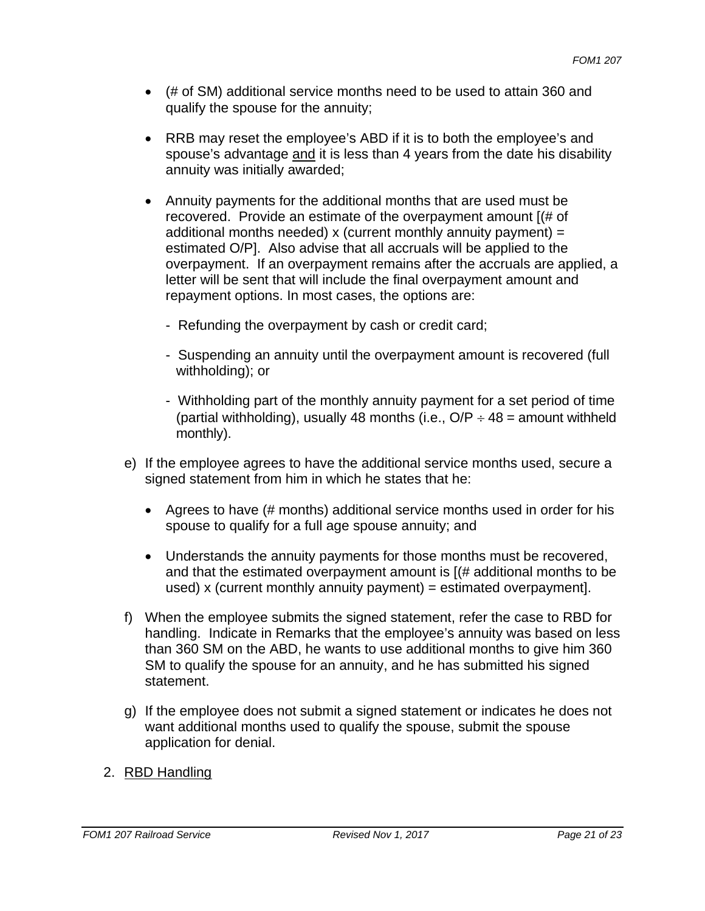- (# of SM) additional service months need to be used to attain 360 and qualify the spouse for the annuity;
- RRB may reset the employee's ABD if it is to both the employee's and spouse's advantage and it is less than 4 years from the date his disability annuity was initially awarded;
- Annuity payments for the additional months that are used must be recovered. Provide an estimate of the overpayment amount [(# of additional months needed) x (current monthly annuity payment) = estimated O/P]. Also advise that all accruals will be applied to the overpayment. If an overpayment remains after the accruals are applied, a letter will be sent that will include the final overpayment amount and repayment options. In most cases, the options are:
	- Refunding the overpayment by cash or credit card;
	- Suspending an annuity until the overpayment amount is recovered (full withholding); or
	- Withholding part of the monthly annuity payment for a set period of time (partial withholding), usually 48 months (i.e.,  $O/P \div 48$  = amount withheld monthly).
- e) If the employee agrees to have the additional service months used, secure a signed statement from him in which he states that he:
	- Agrees to have (# months) additional service months used in order for his spouse to qualify for a full age spouse annuity; and
	- Understands the annuity payments for those months must be recovered, and that the estimated overpayment amount is [(# additional months to be used) x (current monthly annuity payment) = estimated overpayment].
- f) When the employee submits the signed statement, refer the case to RBD for handling. Indicate in Remarks that the employee's annuity was based on less than 360 SM on the ABD, he wants to use additional months to give him 360 SM to qualify the spouse for an annuity, and he has submitted his signed statement.
- g) If the employee does not submit a signed statement or indicates he does not want additional months used to qualify the spouse, submit the spouse application for denial.
- 2. RBD Handling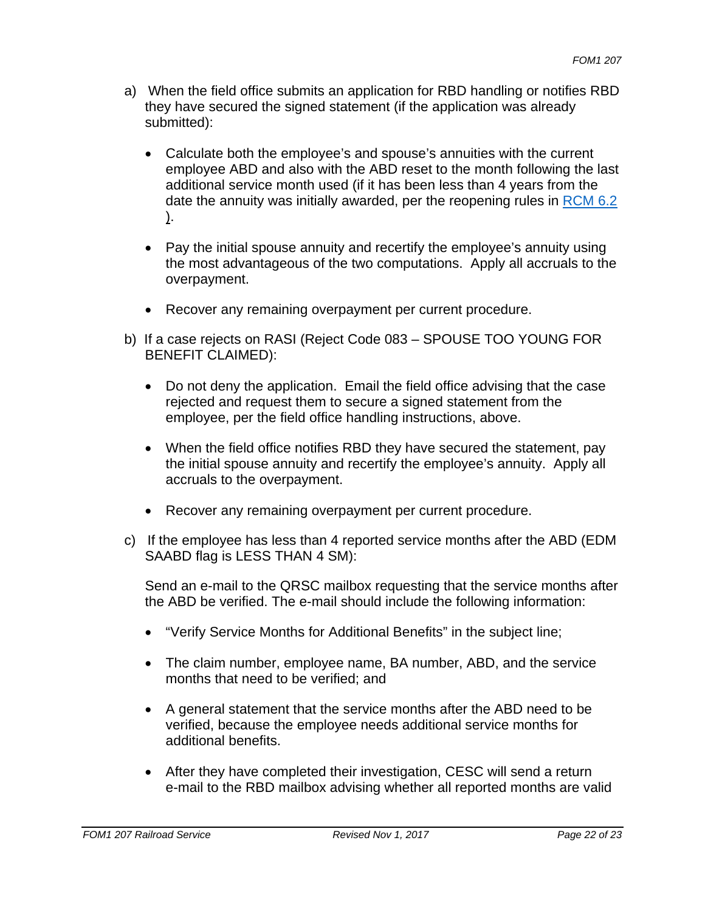- a) When the field office submits an application for RBD handling or notifies RBD they have secured the signed statement (if the application was already submitted):
	- Calculate both the employee's and spouse's annuities with the current employee ABD and also with the ABD reset to the month following the last additional service month used (if it has been less than 4 years from the date the annuity was initially awarded, per the reopening rules in RCM 6.2 ).
	- Pay the initial spouse annuity and recertify the employee's annuity using the most advantageous of the two computations. Apply all accruals to the overpayment.
	- Recover any remaining overpayment per current procedure.
- b) If a case rejects on RASI (Reject Code 083 SPOUSE TOO YOUNG FOR BENEFIT CLAIMED):
	- Do not deny the application. Email the field office advising that the case rejected and request them to secure a signed statement from the employee, per the field office handling instructions, above.
	- When the field office notifies RBD they have secured the statement, pay the initial spouse annuity and recertify the employee's annuity. Apply all accruals to the overpayment.
	- Recover any remaining overpayment per current procedure.
- c) If the employee has less than 4 reported service months after the ABD (EDM SAABD flag is LESS THAN 4 SM):

Send an e-mail to the QRSC mailbox requesting that the service months after the ABD be verified. The e-mail should include the following information:

- "Verify Service Months for Additional Benefits" in the subject line;
- The claim number, employee name, BA number, ABD, and the service months that need to be verified; and
- A general statement that the service months after the ABD need to be verified, because the employee needs additional service months for additional benefits.
- After they have completed their investigation, CESC will send a return e-mail to the RBD mailbox advising whether all reported months are valid